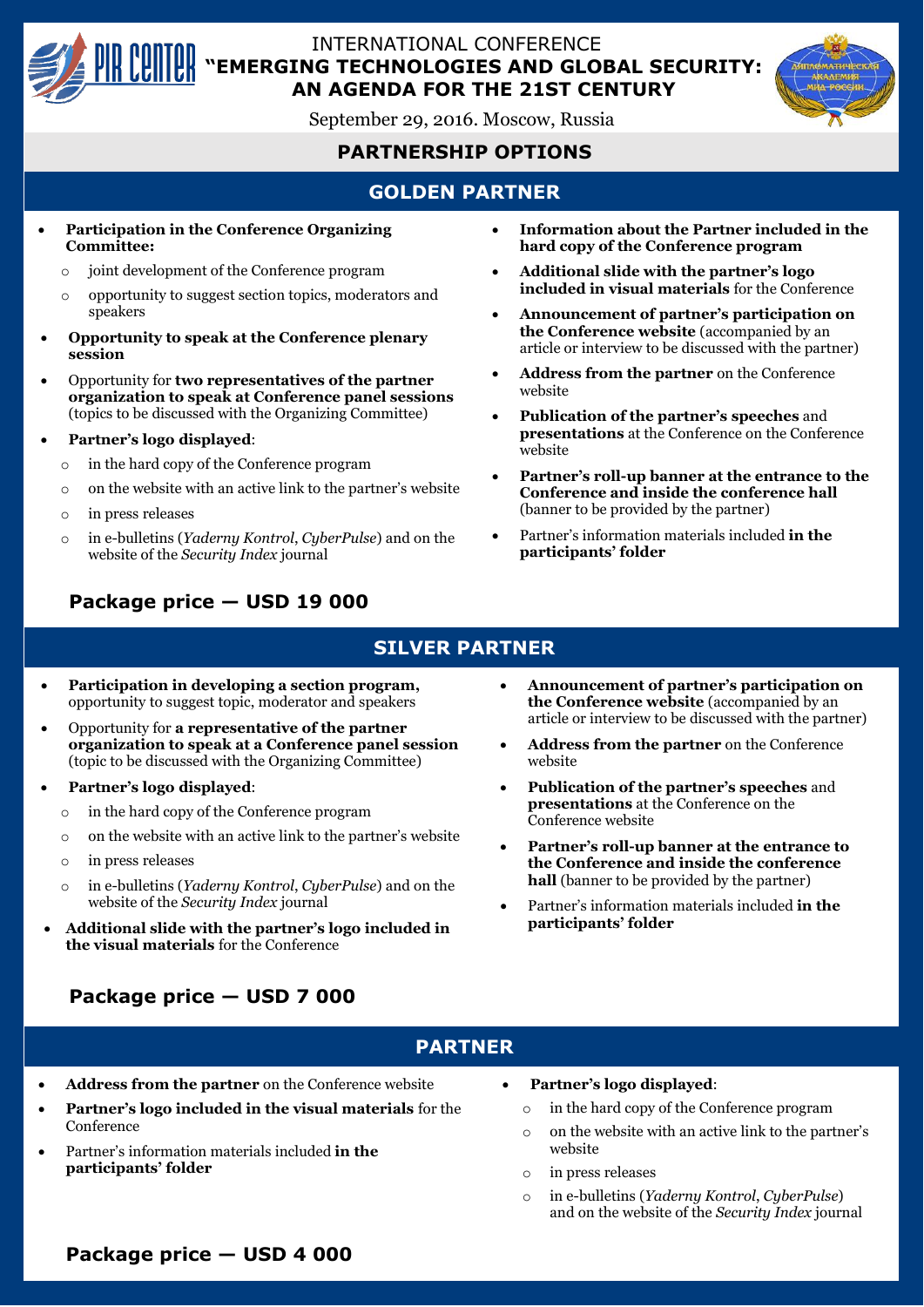

### INTERNATIONAL CONFERENCE **"EMERGING TECHNOLOGIES AND GLOBAL SECURITY: AN AGENDA FOR THE 21ST CENTURY**

September 29, 2016. Moscow, Russia

# **PARTNERSHIP OPTIONS**

# **GOLDEN PARTNER**

- **Participation in the Conference Organizing Committee:**
	- o joint development of the Conference program
	- o opportunity to suggest section topics, moderators and speakers
- **Opportunity to speak at the Conference plenary session**
- Opportunity for **two representatives of the partner organization to speak at Conference panel sessions**  (topics to be discussed with the Organizing Committee)
- **Partner's logo displayed**:
	- o in the hard copy of the Conference program
	- o on the website with an active link to the partner's website
	- o in press releases
	- o in e-bulletins (*Yaderny Kontrol*, *CyberPulse*) and on the website of the *Security Index* journal
- **Information about the Partner included in the hard copy of the Conference program**
- **Additional slide with the partner's logo included in visual materials** for the Conference
- **Announcement of partner's participation on the Conference website** (accompanied by an article or interview to be discussed with the partner)
- **Address from the partner** on the Conference website
- **Publication of the partner's speeches** and **presentations** at the Conference on the Conference website
- **Partner's roll-up banner at the entrance to the Conference and inside the conference hall** (banner to be provided by the partner)
- Partner's information materials included **in the participants' folder**

# **Package price — USD 19 000**

### **SILVER PARTNER**

- **Participation in developing a section program,** opportunity to suggest topic, moderator and speakers
- Opportunity for **a representative of the partner organization to speak at a Conference panel session**  (topic to be discussed with the Organizing Committee)
- **Partner's logo displayed**:
	- o in the hard copy of the Conference program
	- o on the website with an active link to the partner's website
	- o in press releases
	- o in e-bulletins (*Yaderny Kontrol*, *CyberPulse*) and on the website of the *Security Index* journal
- **Additional slide with the partner's logo included in the visual materials** for the Conference
- **Announcement of partner's participation on the Conference website** (accompanied by an article or interview to be discussed with the partner)
- **Address from the partner** on the Conference website
- **Publication of the partner's speeches** and **presentations** at the Conference on the Conference website
- **Partner's roll-up banner at the entrance to the Conference and inside the conference hall** (banner to be provided by the partner)
- Partner's information materials included **in the participants' folder**

# **Package price — USD 7 000**

### **PARTNER**

- **Address from the partner** on the Conference website
- **Partner's logo included in the visual materials** for the Conference
- Partner's information materials included **in the participants' folder**
- **Partner's logo displayed**:
	- o in the hard copy of the Conference program
	- o on the website with an active link to the partner's website
	- o in press releases
	- o in e-bulletins (*Yaderny Kontrol*, *CyberPulse*) and on the website of the *Security Index* journal

## **Package price — USD 4 000**